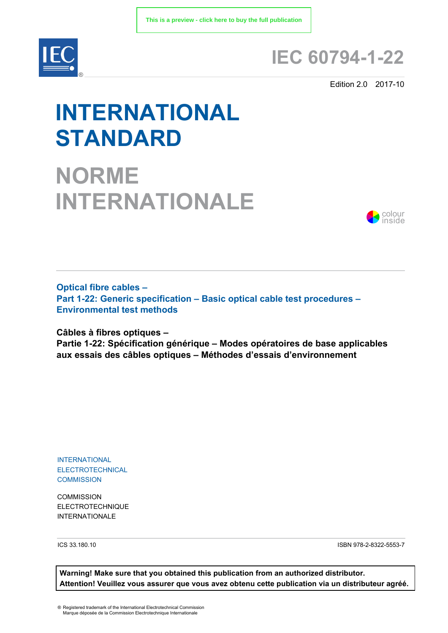

# **IEC 60794-1-22**

Edition 2.0 2017-10

# **INTERNATIONAL STANDARD**

**NORME INTERNATIONALE**



**Optical fibre cables – Part 1-22: Generic specification – Basic optical cable test procedures – Environmental test methods**

**Câbles à fibres optiques –** 

**Partie 1-22: Spécification générique – Modes opératoires de base applicables aux essais des câbles optiques – Méthodes d'essais d'environnement**

INTERNATIONAL ELECTROTECHNICAL **COMMISSION** 

**COMMISSION** ELECTROTECHNIQUE INTERNATIONALE

ICS 33.180.10 ISBN 978-2-8322-5553-7

**Warning! Make sure that you obtained this publication from an authorized distributor. Attention! Veuillez vous assurer que vous avez obtenu cette publication via un distributeur agréé.**

® Registered trademark of the International Electrotechnical Commission Marque déposée de la Commission Electrotechnique Internationale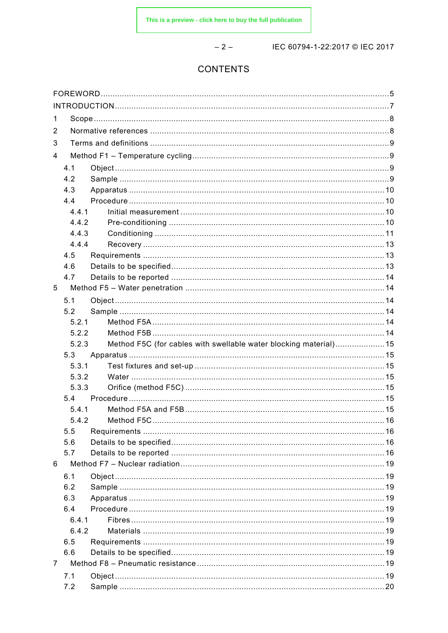$-2-$ 

IEC 60794-1-22:2017 © IEC 2017

# CONTENTS

| 1              |       |                                                                  |  |  |  |
|----------------|-------|------------------------------------------------------------------|--|--|--|
| 2              |       |                                                                  |  |  |  |
| 3              |       |                                                                  |  |  |  |
| 4              |       |                                                                  |  |  |  |
|                | 4.1   |                                                                  |  |  |  |
|                | 4.2   |                                                                  |  |  |  |
|                | 4.3   |                                                                  |  |  |  |
|                | 4.4   |                                                                  |  |  |  |
|                | 4.4.1 |                                                                  |  |  |  |
|                | 4.4.2 |                                                                  |  |  |  |
|                | 4.4.3 |                                                                  |  |  |  |
|                | 4.4.4 |                                                                  |  |  |  |
|                | 4.5   |                                                                  |  |  |  |
|                | 4.6   |                                                                  |  |  |  |
|                | 4.7   |                                                                  |  |  |  |
| 5              |       |                                                                  |  |  |  |
|                | 5.1   |                                                                  |  |  |  |
|                | 5.2   |                                                                  |  |  |  |
|                | 5.2.1 |                                                                  |  |  |  |
|                | 5.2.2 |                                                                  |  |  |  |
|                | 5.2.3 | Method F5C (for cables with swellable water blocking material)15 |  |  |  |
|                | 5.3   |                                                                  |  |  |  |
|                | 5.3.1 |                                                                  |  |  |  |
|                | 5.3.2 |                                                                  |  |  |  |
|                | 5.3.3 |                                                                  |  |  |  |
|                | 5.4   |                                                                  |  |  |  |
|                | 5.4.1 |                                                                  |  |  |  |
|                | 5.4.2 |                                                                  |  |  |  |
|                | 5.5   |                                                                  |  |  |  |
|                | 5.6   |                                                                  |  |  |  |
|                | 5.7   |                                                                  |  |  |  |
| 6              |       |                                                                  |  |  |  |
|                | 6.1   |                                                                  |  |  |  |
|                | 6.2   |                                                                  |  |  |  |
|                | 6.3   |                                                                  |  |  |  |
|                | 6.4   |                                                                  |  |  |  |
|                | 6.4.1 |                                                                  |  |  |  |
|                | 6.4.2 |                                                                  |  |  |  |
|                | 6.5   |                                                                  |  |  |  |
|                | 6.6   |                                                                  |  |  |  |
| $\overline{7}$ |       |                                                                  |  |  |  |
|                | 7.1   |                                                                  |  |  |  |
|                | 7.2   |                                                                  |  |  |  |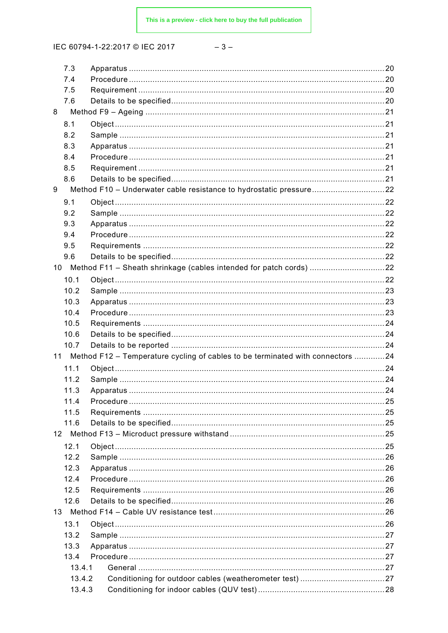| × | ۰. |  |
|---|----|--|
|---|----|--|

| 7.3    |                                                                                   |  |
|--------|-----------------------------------------------------------------------------------|--|
| 7.4    |                                                                                   |  |
| 7.5    |                                                                                   |  |
| 7.6    |                                                                                   |  |
| 8      |                                                                                   |  |
| 8.1    |                                                                                   |  |
| 8.2    |                                                                                   |  |
| 8.3    |                                                                                   |  |
| 8.4    |                                                                                   |  |
|        |                                                                                   |  |
| 8.5    |                                                                                   |  |
| 8.6    |                                                                                   |  |
| 9      | Method F10 - Underwater cable resistance to hydrostatic pressure22                |  |
| 9.1    |                                                                                   |  |
| 9.2    |                                                                                   |  |
| 9.3    |                                                                                   |  |
| 9.4    |                                                                                   |  |
| 9.5    |                                                                                   |  |
| 9.6    |                                                                                   |  |
|        | 10 Method F11 - Sheath shrinkage (cables intended for patch cords) 22             |  |
| 10.1   |                                                                                   |  |
| 10.2   |                                                                                   |  |
|        |                                                                                   |  |
| 10.3   |                                                                                   |  |
| 10.4   |                                                                                   |  |
| 10.5   |                                                                                   |  |
| 10.6   |                                                                                   |  |
| 10.7   |                                                                                   |  |
|        | 11 Method F12 - Temperature cycling of cables to be terminated with connectors 24 |  |
| 11.1   |                                                                                   |  |
| 11.2   |                                                                                   |  |
| 11.3   |                                                                                   |  |
| 11.4   |                                                                                   |  |
| 11.5   |                                                                                   |  |
| 11.6   |                                                                                   |  |
|        |                                                                                   |  |
|        |                                                                                   |  |
| 12.1   |                                                                                   |  |
| 12.2   |                                                                                   |  |
| 12.3   |                                                                                   |  |
| 12.4   |                                                                                   |  |
| 12.5   |                                                                                   |  |
| 12.6   |                                                                                   |  |
|        |                                                                                   |  |
| 13.1   |                                                                                   |  |
| 13.2   |                                                                                   |  |
| 13.3   |                                                                                   |  |
| 13.4   |                                                                                   |  |
| 13.4.1 |                                                                                   |  |
| 13.4.2 |                                                                                   |  |
| 13.4.3 |                                                                                   |  |
|        |                                                                                   |  |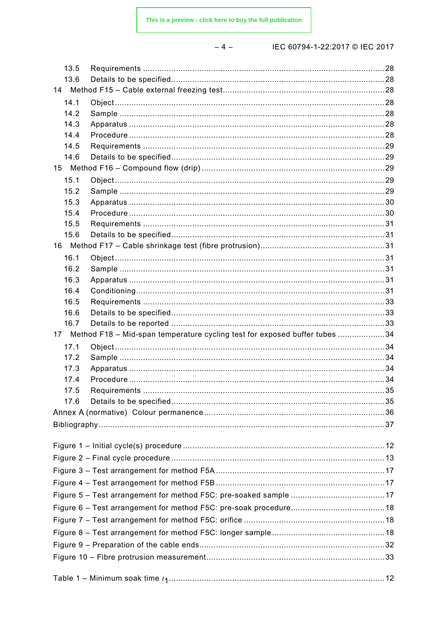|--|

| 13.5            |                                                                            |  |
|-----------------|----------------------------------------------------------------------------|--|
| 13.6            |                                                                            |  |
|                 |                                                                            |  |
| 14.1            |                                                                            |  |
| 14.2            |                                                                            |  |
| 14.3            |                                                                            |  |
| 14.4<br>14.5    |                                                                            |  |
| 14.6            |                                                                            |  |
|                 |                                                                            |  |
| 15.1            |                                                                            |  |
| 15.2            |                                                                            |  |
| 15.3            |                                                                            |  |
| 15.4            |                                                                            |  |
| 15.5            |                                                                            |  |
| 15.6            |                                                                            |  |
| 16              |                                                                            |  |
| 16.1            |                                                                            |  |
| 16.2            |                                                                            |  |
| 16.3            |                                                                            |  |
| 16.4<br>16.5    |                                                                            |  |
| 16.6            |                                                                            |  |
| 16.7            |                                                                            |  |
| 17 <sup>7</sup> | Method F18 - Mid-span temperature cycling test for exposed buffer tubes 34 |  |
| 17.1            |                                                                            |  |
| 17.2            |                                                                            |  |
| 17.3            |                                                                            |  |
| 17.4            |                                                                            |  |
| 17.5            |                                                                            |  |
| 17.6            |                                                                            |  |
|                 |                                                                            |  |
|                 |                                                                            |  |
|                 |                                                                            |  |
|                 |                                                                            |  |
|                 |                                                                            |  |
|                 |                                                                            |  |
|                 |                                                                            |  |
|                 |                                                                            |  |
|                 |                                                                            |  |
|                 |                                                                            |  |
|                 |                                                                            |  |
|                 |                                                                            |  |
|                 |                                                                            |  |
|                 |                                                                            |  |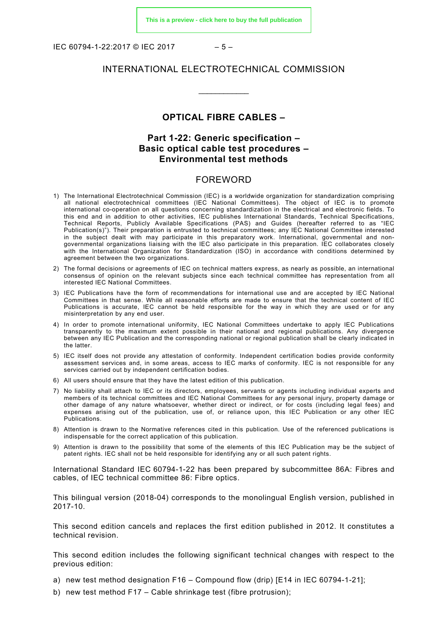IEC 60794-1-22:2017 © IEC 2017 – 5 –

# INTERNATIONAL ELECTROTECHNICAL COMMISSION

\_\_\_\_\_\_\_\_\_\_\_\_

#### **OPTICAL FIBRE CABLES –**

# **Part 1-22: Generic specification – Basic optical cable test procedures – Environmental test methods**

# FOREWORD

- <span id="page-4-0"></span>1) The International Electrotechnical Commission (IEC) is a worldwide organization for standardization comprising all national electrotechnical committees (IEC National Committees). The object of IEC is to promote international co-operation on all questions concerning standardization in the electrical and electronic fields. To this end and in addition to other activities, IEC publishes International Standards, Technical Specifications, Technical Reports, Publicly Available Specifications (PAS) and Guides (hereafter referred to as "IEC Publication(s)"). Their preparation is entrusted to technical committees; any IEC National Committee interested in the subject dealt with may participate in this preparatory work. International, governmental and nongovernmental organizations liaising with the IEC also participate in this preparation. IEC collaborates closely with the International Organization for Standardization (ISO) in accordance with conditions determined by agreement between the two organizations.
- 2) The formal decisions or agreements of IEC on technical matters express, as nearly as possible, an international consensus of opinion on the relevant subjects since each technical committee has representation from all interested IEC National Committees.
- 3) IEC Publications have the form of recommendations for international use and are accepted by IEC National Committees in that sense. While all reasonable efforts are made to ensure that the technical content of IEC Publications is accurate, IEC cannot be held responsible for the way in which they are used or for any misinterpretation by any end user.
- 4) In order to promote international uniformity, IEC National Committees undertake to apply IEC Publications transparently to the maximum extent possible in their national and regional publications. Any divergence between any IEC Publication and the corresponding national or regional publication shall be clearly indicated in the latter.
- 5) IEC itself does not provide any attestation of conformity. Independent certification bodies provide conformity assessment services and, in some areas, access to IEC marks of conformity. IEC is not responsible for any services carried out by independent certification bodies.
- 6) All users should ensure that they have the latest edition of this publication.
- 7) No liability shall attach to IEC or its directors, employees, servants or agents including individual experts and members of its technical committees and IEC National Committees for any personal injury, property damage or other damage of any nature whatsoever, whether direct or indirect, or for costs (including legal fees) and expenses arising out of the publication, use of, or reliance upon, this IEC Publication or any other IEC Publications.
- 8) Attention is drawn to the Normative references cited in this publication. Use of the referenced publications is indispensable for the correct application of this publication.
- 9) Attention is drawn to the possibility that some of the elements of this IEC Publication may be the subject of patent rights. IEC shall not be held responsible for identifying any or all such patent rights.

International Standard IEC 60794-1-22 has been prepared by subcommittee 86A: Fibres and cables, of IEC technical committee 86: Fibre optics.

This bilingual version (2018-04) corresponds to the monolingual English version, published in 2017-10.

This second edition cancels and replaces the first edition published in 2012. It constitutes a technical revision.

This second edition includes the following significant technical changes with respect to the previous edition:

- a) new test method designation F16 Compound flow (drip) [E14 in IEC 60794-1-21];
- b) new test method F17 Cable shrinkage test (fibre protrusion);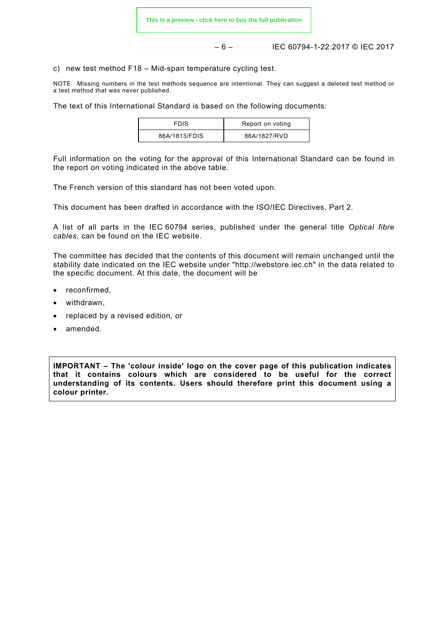– 6 – IEC 60794-1-22:2017 © IEC 2017

c) new test method F18 – Mid-span temperature cycling test.

NOTE Missing numbers in the test methods sequence are intentional. They can suggest a deleted test method or a test method that was never published.

The text of this International Standard is based on the following documents:

| <b>FDIS</b>   | Report on voting |
|---------------|------------------|
| 86A/1813/FDIS | 86A/1827/RVD     |

Full information on the voting for the approval of this International Standard can be found in the report on voting indicated in the above table.

The French version of this standard has not been voted upon.

This document has been drafted in accordance with the ISO/IEC Directives, Part 2.

A list of all parts in the IEC 60794 series, published under the general title *Optical fibre cables*, can be found on the IEC website.

The committee has decided that the contents of this document will remain unchanged until the stability date indicated on the IEC website under "http://webstore.iec.ch" in the data related to the specific document. At this date, the document will be

- reconfirmed,
- withdrawn,
- replaced by a revised edition, or
- amended.

**IMPORTANT – The 'colour inside' logo on the cover page of this publication indicates that it contains colours which are considered to be useful for the correct understanding of its contents. Users should therefore print this document using a colour printer.**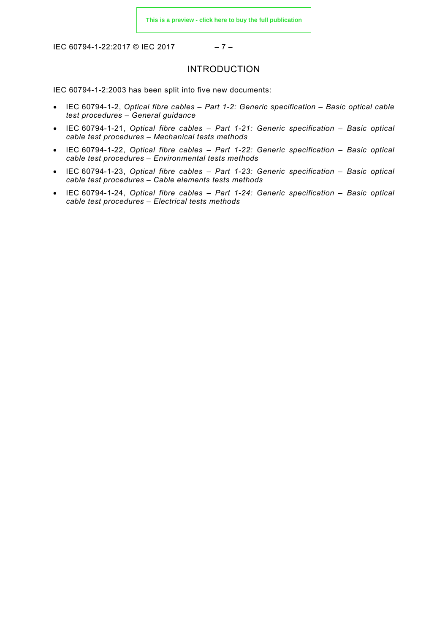IEC 60794-1-22:2017 © IEC 2017 – 7 –

# INTRODUCTION

<span id="page-6-0"></span>IEC 60794-1-2:2003 has been split into five new documents:

- IEC 60794-1-2, *Optical fibre cables Part 1-2: Generic specification Basic optical cable test procedures – General guidance*
- IEC 60794-1-21, *Optical fibre cables Part 1-21: Generic specification Basic optical cable test procedures – Mechanical tests methods*
- IEC 60794-1-22, *Optical fibre cables Part 1-22: Generic specification Basic optical cable test procedures – Environmental tests methods*
- IEC 60794-1-23, *Optical fibre cables Part 1-23: Generic specification Basic optical cable test procedures – Cable elements tests methods*
- IEC 60794-1-24, *Optical fibre cables Part 1-24: Generic specification Basic optical cable test procedures – Electrical tests methods*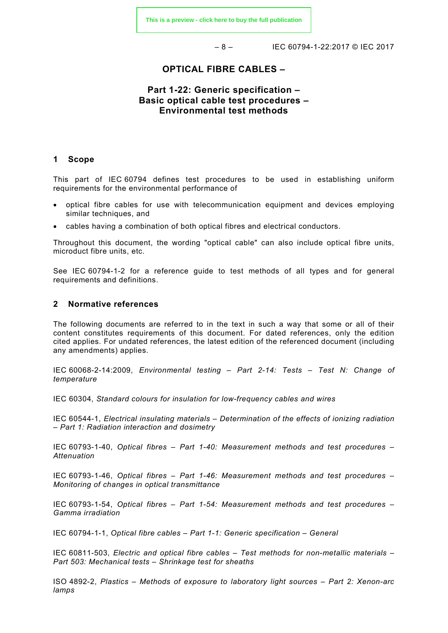– 8 – IEC 60794-1-22:2017 © IEC 2017

# **OPTICAL FIBRE CABLES –**

# **Part 1-22: Generic specification – Basic optical cable test procedures – Environmental test methods**

#### <span id="page-7-0"></span>**1 Scope**

This part of IEC 60794 defines test procedures to be used in establishing uniform requirements for the environmental performance of

- optical fibre cables for use with telecommunication equipment and devices employing similar techniques, and
- cables having a combination of both optical fibres and electrical conductors.

Throughout this document, the wording "optical cable" can also include optical fibre units, microduct fibre units, etc.

See IEC 60794-1-2 for a reference guide to test methods of all types and for general requirements and definitions.

#### <span id="page-7-1"></span>**2 Normative references**

The following documents are referred to in the text in such a way that some or all of their content constitutes requirements of this document. For dated references, only the edition cited applies. For undated references, the latest edition of the referenced document (including any amendments) applies.

IEC 60068-2-14:2009, *Environmental testing – Part 2-14: Tests – Test N: Change of temperature*

IEC 60304, *Standard colours for insulation for low-frequency cables and wires*

IEC 60544-1, *Electrical insulating materials – Determination of the effects of ionizing radiation – Part 1: Radiation interaction and dosimetry*

IEC 60793-1-40, *Optical fibres – Part 1-40: Measurement methods and test procedures – Attenuation*

IEC 60793-1-46, *Optical fibres – Part 1-46: Measurement methods and test procedures – Monitoring of changes in optical transmittance*

IEC 60793-1-54, *Optical fibres – Part 1-54: Measurement methods and test procedures – Gamma irradiation*

IEC 60794-1-1, *Optical fibre cables – Part 1-1: Generic specification – General*

IEC 60811-503, *Electric and optical fibre cables – Test methods for non-metallic materials – Part 503: Mechanical tests – Shrinkage test for sheaths*

ISO 4892-2, *Plastics – Methods of exposure to laboratory light sources – Part 2: Xenon-arc lamps*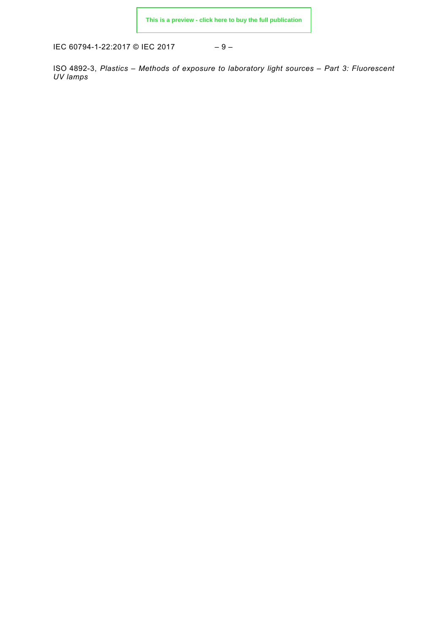IEC 60794-1-22:2017 © IEC 2017 – 9 –

<span id="page-8-3"></span><span id="page-8-2"></span><span id="page-8-1"></span><span id="page-8-0"></span>ISO 4892-3, *Plastics – Methods of exposure to laboratory light sources – Part 3: Fluorescent UV lamps*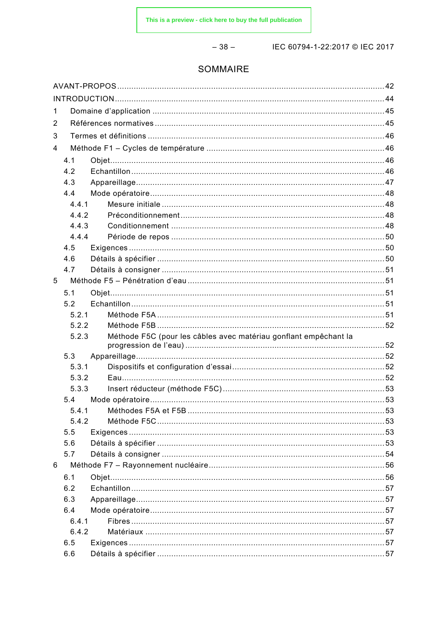$-38-$ 

IEC 60794-1-22:2017 © IEC 2017

# SOMMAIRE

| 1 |                |                                                                  |  |  |  |
|---|----------------|------------------------------------------------------------------|--|--|--|
| 2 |                |                                                                  |  |  |  |
| 3 |                |                                                                  |  |  |  |
| 4 |                |                                                                  |  |  |  |
|   | 4.1            |                                                                  |  |  |  |
|   | 4.2            |                                                                  |  |  |  |
|   | 4.3            |                                                                  |  |  |  |
|   | 4.4            |                                                                  |  |  |  |
|   | 4.4.1          |                                                                  |  |  |  |
|   | 4.4.2<br>4.4.3 |                                                                  |  |  |  |
|   |                |                                                                  |  |  |  |
|   | 4.4.4          |                                                                  |  |  |  |
|   | 4.5            |                                                                  |  |  |  |
|   | 4.6            |                                                                  |  |  |  |
|   | 4.7            |                                                                  |  |  |  |
| 5 |                |                                                                  |  |  |  |
|   | 5.1            |                                                                  |  |  |  |
|   | 5.2            |                                                                  |  |  |  |
|   | 5.2.1          |                                                                  |  |  |  |
|   | 5.2.2          |                                                                  |  |  |  |
|   | 5.2.3          | Méthode F5C (pour les câbles avec matériau gonflant empêchant la |  |  |  |
|   | 5.3            |                                                                  |  |  |  |
|   | 5.3.1          |                                                                  |  |  |  |
|   | 5.3.2          |                                                                  |  |  |  |
|   | 5.3.3          |                                                                  |  |  |  |
|   | 5.4            |                                                                  |  |  |  |
|   | 5.4.1          |                                                                  |  |  |  |
|   |                |                                                                  |  |  |  |
|   | 5.5            |                                                                  |  |  |  |
|   | 5.6            |                                                                  |  |  |  |
|   | 5.7            |                                                                  |  |  |  |
| 6 |                |                                                                  |  |  |  |
|   | 6.1            |                                                                  |  |  |  |
|   | 6.2            |                                                                  |  |  |  |
|   | 6.3            |                                                                  |  |  |  |
|   | 6.4            |                                                                  |  |  |  |
|   | 6.4.1          |                                                                  |  |  |  |
|   | 6.4.2          |                                                                  |  |  |  |
|   | 6.5            |                                                                  |  |  |  |
|   | 6.6            |                                                                  |  |  |  |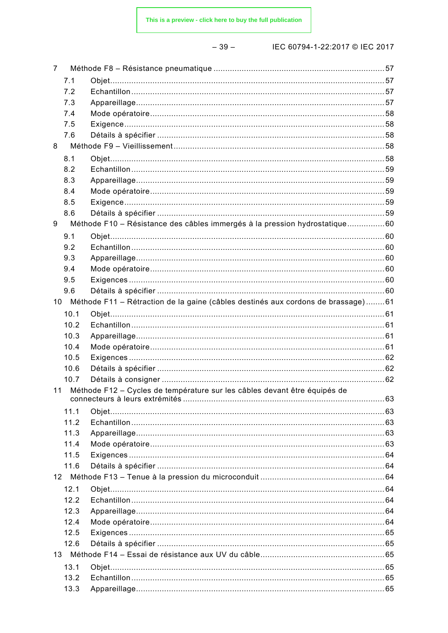$-39-$ 

| $\overline{7}$                                                                  |      |                                                                                     |  |  |  |
|---------------------------------------------------------------------------------|------|-------------------------------------------------------------------------------------|--|--|--|
|                                                                                 | 7.1  |                                                                                     |  |  |  |
|                                                                                 | 7.2  |                                                                                     |  |  |  |
|                                                                                 | 7.3  |                                                                                     |  |  |  |
|                                                                                 | 7.4  |                                                                                     |  |  |  |
|                                                                                 | 7.5  |                                                                                     |  |  |  |
|                                                                                 | 7.6  |                                                                                     |  |  |  |
| 8                                                                               |      |                                                                                     |  |  |  |
|                                                                                 | 8.1  |                                                                                     |  |  |  |
|                                                                                 | 8.2  |                                                                                     |  |  |  |
|                                                                                 | 8.3  |                                                                                     |  |  |  |
|                                                                                 | 8.4  |                                                                                     |  |  |  |
|                                                                                 | 8.5  |                                                                                     |  |  |  |
|                                                                                 | 8.6  |                                                                                     |  |  |  |
| 9                                                                               |      | Méthode F10 - Résistance des câbles immergés à la pression hydrostatique60          |  |  |  |
|                                                                                 | 9.1  |                                                                                     |  |  |  |
|                                                                                 | 9.2  |                                                                                     |  |  |  |
|                                                                                 | 9.3  |                                                                                     |  |  |  |
|                                                                                 | 9.4  |                                                                                     |  |  |  |
|                                                                                 | 9.5  |                                                                                     |  |  |  |
|                                                                                 | 9.6  |                                                                                     |  |  |  |
|                                                                                 |      | 10 Méthode F11 - Rétraction de la gaine (câbles destinés aux cordons de brassage)61 |  |  |  |
|                                                                                 | 10.1 |                                                                                     |  |  |  |
|                                                                                 | 10.2 |                                                                                     |  |  |  |
|                                                                                 | 10.3 |                                                                                     |  |  |  |
|                                                                                 | 10.4 |                                                                                     |  |  |  |
|                                                                                 | 10.5 |                                                                                     |  |  |  |
|                                                                                 | 10.6 |                                                                                     |  |  |  |
|                                                                                 | 10.7 |                                                                                     |  |  |  |
| Méthode F12 - Cycles de température sur les câbles devant être équipés de<br>11 |      |                                                                                     |  |  |  |
|                                                                                 | 11.1 |                                                                                     |  |  |  |
|                                                                                 | 11.2 |                                                                                     |  |  |  |
|                                                                                 | 11.3 |                                                                                     |  |  |  |
|                                                                                 | 11.4 |                                                                                     |  |  |  |
|                                                                                 | 11.5 |                                                                                     |  |  |  |
|                                                                                 | 11.6 |                                                                                     |  |  |  |
|                                                                                 |      |                                                                                     |  |  |  |
|                                                                                 | 12.1 |                                                                                     |  |  |  |
|                                                                                 | 12.2 |                                                                                     |  |  |  |
|                                                                                 | 12.3 |                                                                                     |  |  |  |
|                                                                                 | 12.4 |                                                                                     |  |  |  |
|                                                                                 | 12.5 |                                                                                     |  |  |  |
|                                                                                 | 12.6 |                                                                                     |  |  |  |
|                                                                                 |      |                                                                                     |  |  |  |
|                                                                                 | 13.1 |                                                                                     |  |  |  |
|                                                                                 | 13.2 |                                                                                     |  |  |  |
|                                                                                 | 13.3 |                                                                                     |  |  |  |
|                                                                                 |      |                                                                                     |  |  |  |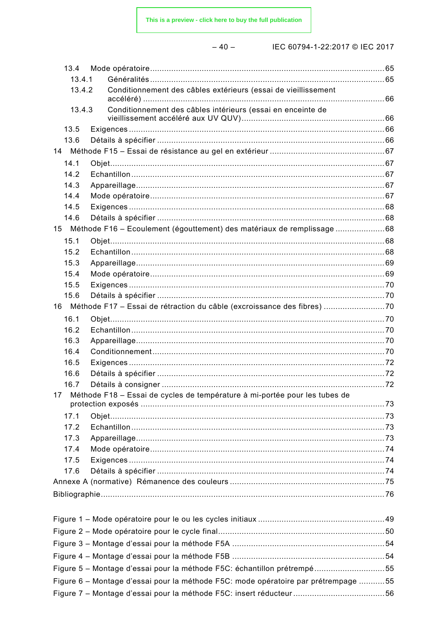This is a preview - click here to buy the full publication

|--|

| 13.4   |                                                                                    |  |
|--------|------------------------------------------------------------------------------------|--|
| 13.4.1 |                                                                                    |  |
| 13.4.2 | Conditionnement des câbles extérieurs (essai de vieillissement                     |  |
| 13.4.3 | Conditionnement des câbles intérieurs (essai en enceinte de                        |  |
| 13.5   |                                                                                    |  |
| 13.6   |                                                                                    |  |
| 14     |                                                                                    |  |
| 14.1   |                                                                                    |  |
| 14.2   |                                                                                    |  |
| 14.3   |                                                                                    |  |
| 14.4   |                                                                                    |  |
| 14.5   |                                                                                    |  |
| 14.6   |                                                                                    |  |
|        | 15 Méthode F16 - Ecoulement (égouttement) des matériaux de remplissage 68          |  |
| 15.1   |                                                                                    |  |
| 15.2   |                                                                                    |  |
| 15.3   |                                                                                    |  |
| 15.4   |                                                                                    |  |
| 15.5   |                                                                                    |  |
| 15.6   |                                                                                    |  |
|        | 16 Méthode F17 - Essai de rétraction du câble (excroissance des fibres) 70         |  |
| 16.1   |                                                                                    |  |
| 16.2   |                                                                                    |  |
| 16.3   |                                                                                    |  |
| 16.4   |                                                                                    |  |
| 16.5   |                                                                                    |  |
| 16.6   |                                                                                    |  |
| 16.7   |                                                                                    |  |
| 17     | Méthode F18 - Essai de cycles de température à mi-portée pour les tubes de         |  |
| 17.1   |                                                                                    |  |
| 17.2   |                                                                                    |  |
| 17.3   |                                                                                    |  |
| 17.4   |                                                                                    |  |
| 17.5   |                                                                                    |  |
| 17.6   |                                                                                    |  |
|        |                                                                                    |  |
|        |                                                                                    |  |
|        |                                                                                    |  |
|        |                                                                                    |  |
|        |                                                                                    |  |
|        |                                                                                    |  |
|        |                                                                                    |  |
|        | Figure 5 - Montage d'essai pour la méthode F5C: échantillon prétrempé55            |  |
|        | Figure 6 - Montage d'essai pour la méthode F5C: mode opératoire par prétrempage 55 |  |
|        |                                                                                    |  |
|        |                                                                                    |  |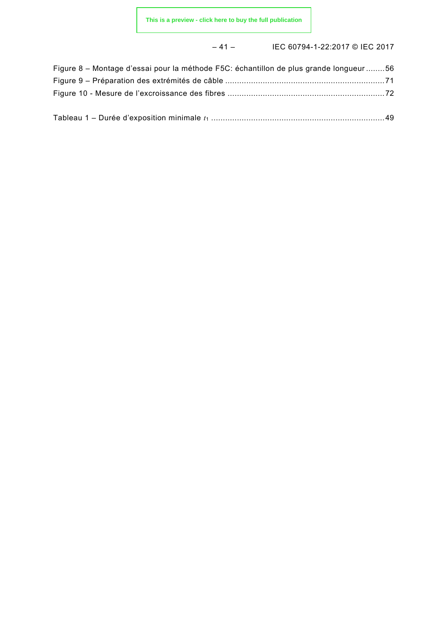# – 41 – IEC 60794-1-22:2017 © IEC 2017

| Figure 8 - Montage d'essai pour la méthode F5C: échantillon de plus grande longueur 56 |  |
|----------------------------------------------------------------------------------------|--|
|                                                                                        |  |
|                                                                                        |  |
|                                                                                        |  |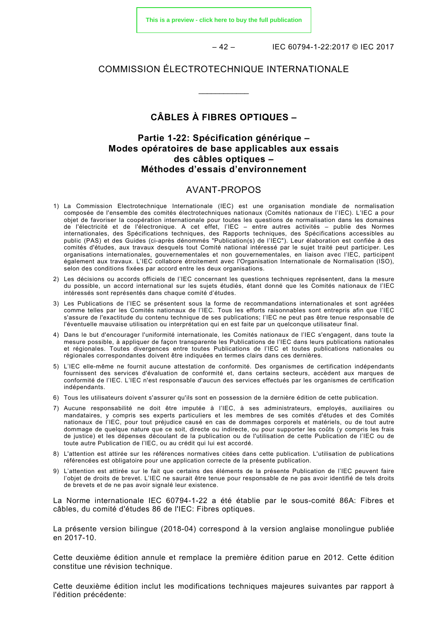**[This is a preview - click here to buy the full publication](https://webstore.iec.ch/publication/33545&preview)**

– 42 – IEC 60794-1-22:2017 © IEC 2017

#### COMMISSION ÉLECTROTECHNIQUE INTERNATIONALE

\_\_\_\_\_\_\_\_\_\_\_\_

# **CÂBLES À FIBRES OPTIQUES –**

# **Partie 1-22: Spécification générique – Modes opératoires de base applicables aux essais des câbles optiques – Méthodes d'essais d'environnement**

# AVANT-PROPOS

- <span id="page-13-0"></span>1) La Commission Electrotechnique Internationale (IEC) est une organisation mondiale de normalisation composée de l'ensemble des comités électrotechniques nationaux (Comités nationaux de l'IEC). L'IEC a pour objet de favoriser la coopération internationale pour toutes les questions de normalisation dans les domaines de l'électricité et de l'électronique. A cet effet, l'IEC – entre autres activités – publie des Normes internationales, des Spécifications techniques, des Rapports techniques, des Spécifications accessibles au public (PAS) et des Guides (ci-après dénommés "Publication(s) de l'IEC"). Leur élaboration est confiée à des comités d'études, aux travaux desquels tout Comité national intéressé par le sujet traité peut participer. Les organisations internationales, gouvernementales et non gouvernementales, en liaison avec l'IEC, participent également aux travaux. L'IEC collabore étroitement avec l'Organisation Internationale de Normalisation (ISO), selon des conditions fixées par accord entre les deux organisations.
- 2) Les décisions ou accords officiels de l'IEC concernant les questions techniques représentent, dans la mesure du possible, un accord international sur les sujets étudiés, étant donné que les Comités nationaux de l'IEC intéressés sont représentés dans chaque comité d'études.
- 3) Les Publications de l'IEC se présentent sous la forme de recommandations internationales et sont agréées comme telles par les Comités nationaux de l'IEC. Tous les efforts raisonnables sont entrepris afin que l'IEC s'assure de l'exactitude du contenu technique de ses publications; l'IEC ne peut pas être tenue responsable de l'éventuelle mauvaise utilisation ou interprétation qui en est faite par un quelconque utilisateur final.
- 4) Dans le but d'encourager l'uniformité internationale, les Comités nationaux de l'IEC s'engagent, dans toute la mesure possible, à appliquer de façon transparente les Publications de l'IEC dans leurs publications nationales et régionales. Toutes divergences entre toutes Publications de l'IEC et toutes publications nationales ou régionales correspondantes doivent être indiquées en termes clairs dans ces dernières.
- 5) L'IEC elle-même ne fournit aucune attestation de conformité. Des organismes de certification indépendants fournissent des services d'évaluation de conformité et, dans certains secteurs, accèdent aux marques de conformité de l'IEC. L'IEC n'est responsable d'aucun des services effectués par les organismes de certification indépendants.
- 6) Tous les utilisateurs doivent s'assurer qu'ils sont en possession de la dernière édition de cette publication.
- 7) Aucune responsabilité ne doit être imputée à l'IEC, à ses administrateurs, employés, auxiliaires ou mandataires, y compris ses experts particuliers et les membres de ses comités d'études et des Comités nationaux de l'IEC, pour tout préjudice causé en cas de dommages corporels et matériels, ou de tout autre dommage de quelque nature que ce soit, directe ou indirecte, ou pour supporter les coûts (y compris les frais de justice) et les dépenses découlant de la publication ou de l'utilisation de cette Publication de l'IEC ou de toute autre Publication de l'IEC, ou au crédit qui lui est accordé.
- 8) L'attention est attirée sur les références normatives citées dans cette publication. L'utilisation de publications référencées est obligatoire pour une application correcte de la présente publication.
- 9) L'attention est attirée sur le fait que certains des éléments de la présente Publication de l'IEC peuvent faire l'objet de droits de brevet. L'IEC ne saurait être tenue pour responsable de ne pas avoir identifié de tels droits de brevets et de ne pas avoir signalé leur existence.

La Norme internationale IEC 60794-1-22 a été établie par le sous-comité 86A: Fibres et câbles, du comité d'études 86 de l'IEC: Fibres optiques.

La présente version bilingue (2018-04) correspond à la version anglaise monolingue publiée en 2017-10.

Cette deuxième édition annule et remplace la première édition parue en 2012. Cette édition constitue une révision technique.

Cette deuxième édition inclut les modifications techniques majeures suivantes par rapport à l'édition précédente: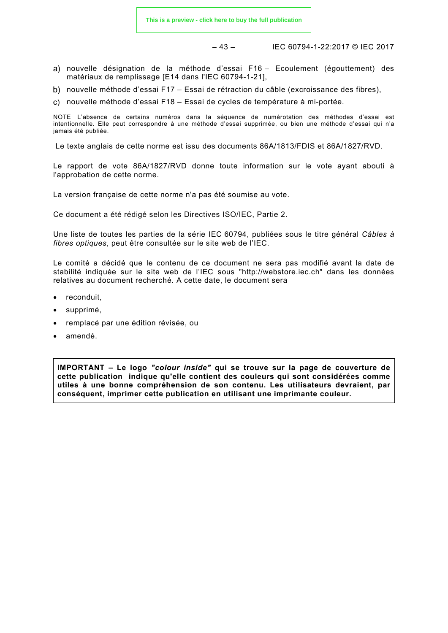– 43 – IEC 60794-1-22:2017 © IEC 2017

- nouvelle désignation de la méthode d'essai F16 Ecoulement (égouttement) des matériaux de remplissage [E14 dans l'IEC 60794-1-21],
- b) nouvelle méthode d'essai F17 Essai de rétraction du câble (excroissance des fibres),
- nouvelle méthode d'essai F18 Essai de cycles de température à mi-portée.

NOTE L'absence de certains numéros dans la séquence de numérotation des méthodes d'essai est intentionnelle. Elle peut correspondre à une méthode d'essai supprimée, ou bien une méthode d'essai qui n'a jamais été publiée.

Le texte anglais de cette norme est issu des documents 86A/1813/FDIS et 86A/1827/RVD.

Le rapport de vote 86A/1827/RVD donne toute information sur le vote ayant abouti à l'approbation de cette norme.

La version française de cette norme n'a pas été soumise au vote.

Ce document a été rédigé selon les Directives ISO/IEC, Partie 2.

Une liste de toutes les parties de la série IEC 60794, publiées sous le titre général *Câbles à fibres optiques*, peut être consultée sur le site web de l'IEC.

Le comité a décidé que le contenu de ce document ne sera pas modifié avant la date de stabilité indiquée sur le site web de l'IEC sous "http://webstore.iec.ch" dans les données relatives au document recherché. A cette date, le document sera

- reconduit,
- supprimé,
- remplacé par une édition révisée, ou
- amendé.

**IMPORTANT – Le logo** *"colour inside"* **qui se trouve sur la page de couverture de cette publication indique qu'elle contient des couleurs qui sont considérées comme utiles à une bonne compréhension de son contenu. Les utilisateurs devraient, par conséquent, imprimer cette publication en utilisant une imprimante couleur.**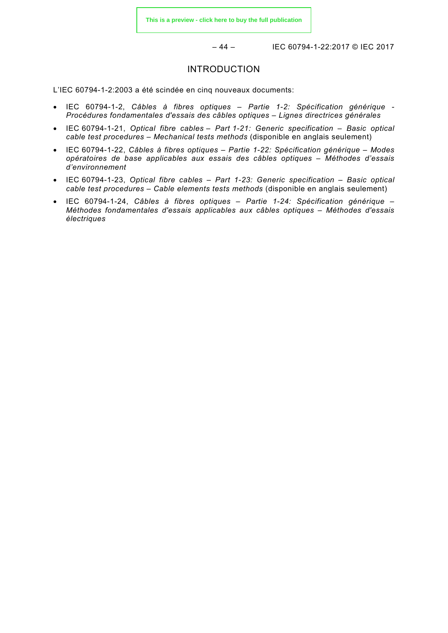– 44 – IEC 60794-1-22:2017 © IEC 2017

#### INTRODUCTION

<span id="page-15-0"></span>L'IEC 60794-1-2:2003 a été scindée en cinq nouveaux documents:

- IEC 60794-1-2, *Câbles à fibres optiques Partie 1-2: Spécification générique Procédures fondamentales d'essais des câbles optiques – Lignes directrices générales*
- IEC 60794-1-21, *Optical fibre cables Part 1-21: Generic specification Basic optical cable test procedures – Mechanical tests methods* (disponible en anglais seulement)
- IEC 60794-1-22, *Câbles à fibres optiques Partie 1-22: Spécification générique Modes opératoires de base applicables aux essais des câbles optiques – Méthodes d'essais d'environnement*
- IEC 60794-1-23, *Optical fibre cables Part 1-23: Generic specification Basic optical cable test procedures – Cable elements tests methods* (disponible en anglais seulement)
- IEC 60794-1-24, *Câbles à fibres optiques Partie 1-24: Spécification générique Méthodes fondamentales d'essais applicables aux câbles optiques – Méthodes d'essais électriques*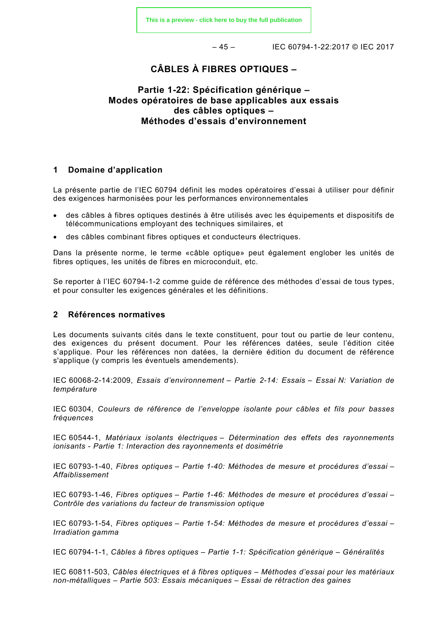– 45 – IEC 60794-1-22:2017 © IEC 2017

# **CÂBLES À FIBRES OPTIQUES –**

# **Partie 1-22: Spécification générique – Modes opératoires de base applicables aux essais des câbles optiques – Méthodes d'essais d'environnement**

#### <span id="page-16-0"></span>**1 Domaine d'application**

La présente partie de l'IEC 60794 définit les modes opératoires d'essai à utiliser pour définir des exigences harmonisées pour les performances environnementales

- des câbles à fibres optiques destinés à être utilisés avec les équipements et dispositifs de télécommunications employant des techniques similaires, et
- des câbles combinant fibres optiques et conducteurs électriques.

Dans la présente norme, le terme «câble optique» peut également englober les unités de fibres optiques, les unités de fibres en microconduit, etc.

Se reporter à l'IEC 60794-1-2 comme guide de référence des méthodes d'essai de tous types, et pour consulter les exigences générales et les définitions.

#### <span id="page-16-1"></span>**2 Références normatives**

Les documents suivants cités dans le texte constituent, pour tout ou partie de leur contenu, des exigences du présent document. Pour les références datées, seule l'édition citée s'applique. Pour les références non datées, la dernière édition du document de référence s'applique (y compris les éventuels amendements).

IEC 60068-2-14:2009, *Essais d'environnement – Partie 2-14: Essais – Essai N: Variation de température*

IEC 60304, *Couleurs de référence de l'enveloppe isolante pour câbles et fils pour basses fréquences*

IEC 60544-1, *Matériaux isolants électriques – Détermination des effets des rayonnements ionisants - Partie 1: Interaction des rayonnements et dosimétrie*

IEC 60793-1-40, *Fibres optiques – Partie 1-40: Méthodes de mesure et procédures d'essai – Affaiblissement*

IEC 60793-1-46, *Fibres optiques – Partie 1-46: Méthodes de mesure et procédures d'essai – Contrôle des variations du facteur de transmission optique*

IEC 60793-1-54, *Fibres optiques – Partie 1-54: Méthodes de mesure et procédures d'essai – Irradiation gamma*

IEC 60794-1-1, *Câbles à fibres optiques – Partie 1-1: Spécification générique – Généralités*

IEC 60811-503, *Câbles électriques et à fibres optiques – Méthodes d'essai pour les matériaux non-métalliques – Partie 503: Essais mécaniques – Essai de rétraction des gaines*